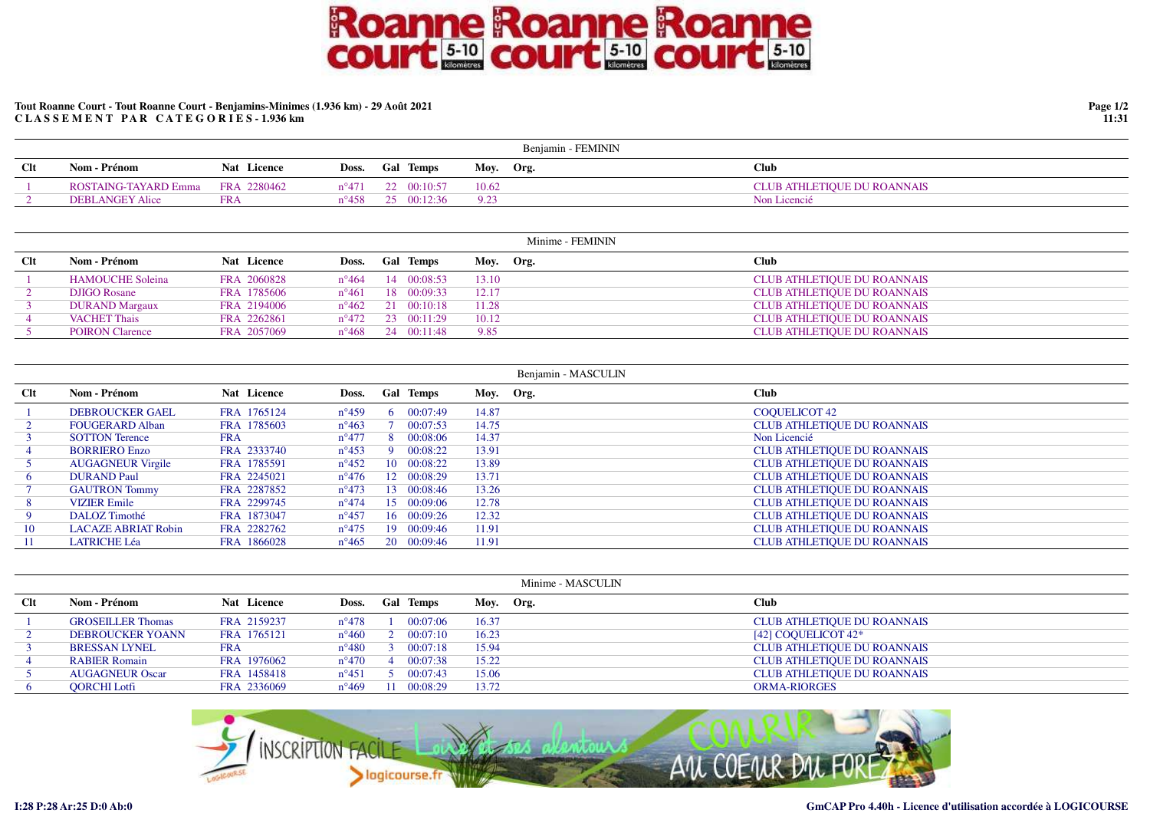## **Roanne Roanne Roanne<br>court & Court & Court & Court & Court & Court & Court & Court & Court & Court & Court & Court & Court & Court & Co**

## **Tout Roanne Court - Tout Roanne Court - Benjamins-Minimes (1.936 km) - 29 Août 2021C L A S S E M E N T P A R C A T E G O R I E S - 1.936 km**

|     |                      |                    |                |                            |       | Benjamin - FEMININ |                             |
|-----|----------------------|--------------------|----------------|----------------------------|-------|--------------------|-----------------------------|
| Clt | Nom - Prénom         | <b>Nat</b> Licence | Doss.          | <b>Gal Temps</b>           |       | Moy. Org.          | <b>Club</b>                 |
|     | ROSTAING-TAYARD Emma | FRA 2280462        |                | $n^{\circ}471$ 22 00:10:57 | 10.62 |                    | CLUB ATHLETIQUE DU ROANNAIS |
|     | DEBLANGEY Alice      | <b>FRA</b>         | $n^{\circ}458$ | $25.00 \cdot 12 \cdot 36$  | 0.23  |                    | Non Licencié                |

|     |                         |             |                |                  | Minime - FEMININ |                                    |
|-----|-------------------------|-------------|----------------|------------------|------------------|------------------------------------|
| Clt | Nom - Prénom            | Nat Licence | Doss.          | <b>Gal Temps</b> | Moy. Org.        | <b>Club</b>                        |
|     | <b>HAMOUCHE Soleina</b> | FRA 2060828 | $n^{\circ}464$ | 14 00:08:53      | 13.10            | <b>CLUB ATHLETIQUE DU ROANNAIS</b> |
|     | <b>DJIGO Rosane</b>     | FRA 1785606 | $n^{\circ}461$ | 18 00:09:33      | 12.17            | <b>CLUB ATHLETIQUE DU ROANNAIS</b> |
|     | <b>DURAND Margaux</b>   | FRA 2194006 | $n^{\circ}462$ | 21 00:10:18      | 11.28            | <b>CLUB ATHLETIQUE DU ROANNAIS</b> |
|     | <b>VACHET Thais</b>     | FRA 2262861 | $n^{\circ}472$ | 23 00:11:29      | 10.12            | <b>CLUB ATHLETIQUE DU ROANNAIS</b> |
|     | <b>POIRON</b> Clarence  | FRA 2057069 | $n^{\circ}468$ | 24 00:11:48      | 9.85             | <b>CLUB ATHLETIQUE DU ROANNAIS</b> |

|        |                            |             |                |    |                     |           | Benjamin - MASCULIN |                                    |
|--------|----------------------------|-------------|----------------|----|---------------------|-----------|---------------------|------------------------------------|
| $Cl$ t | Nom - Prénom               | Nat Licence | Doss.          |    | <b>Gal Temps</b>    | Moy. Org. |                     | <b>Club</b>                        |
|        | <b>DEBROUCKER GAEL</b>     | FRA 1765124 | $n^{\circ}459$ | 6. | 00:07:49            | 14.87     |                     | COOUELICOT 42                      |
|        | <b>FOUGERARD Alban</b>     | FRA 1785603 | $n^{\circ}463$ |    | 00:07:53            | 14.75     |                     | <b>CLUB ATHLETIQUE DU ROANNAIS</b> |
|        | <b>SOTTON Terence</b>      | <b>FRA</b>  | $n^{\circ}477$ |    | 00:08:06            | 14.37     |                     | Non Licencié                       |
|        | <b>BORRIERO Enzo</b>       | FRA 2333740 | $n^{\circ}453$ | Q  | 00:08:22            | 13.91     |                     | <b>CLUB ATHLETIQUE DU ROANNAIS</b> |
|        | <b>AUGAGNEUR Virgile</b>   | FRA 1785591 | $n^{\circ}452$ |    | 10 00:08:22         | 13.89     |                     | <b>CLUB ATHLETIQUE DU ROANNAIS</b> |
| 6      | <b>DURAND Paul</b>         | FRA 2245021 | $n^{\circ}476$ |    | 12 00:08:29         | 13.71     |                     | <b>CLUB ATHLETIQUE DU ROANNAIS</b> |
|        | <b>GAUTRON Tommy</b>       | FRA 2287852 | $n^{\circ}473$ |    | 13 00:08:46         | 13.26     |                     | <b>CLUB ATHLETIQUE DU ROANNAIS</b> |
| 8      | <b>VIZIER</b> Emile        | FRA 2299745 | $n^{\circ}474$ |    | $15 \quad 00:09:06$ | 12.78     |                     | <b>CLUB ATHLETIQUE DU ROANNAIS</b> |
| 9.     | DALOZ Timothé              | FRA 1873047 | $n^{\circ}457$ |    | 16 00:09:26         | 12.32     |                     | <b>CLUB ATHLETIQUE DU ROANNAIS</b> |
| 10     | <b>LACAZE ABRIAT Robin</b> | FRA 2282762 | $n^{\circ}475$ |    | 19 00:09:46         | 11.91     |                     | <b>CLUB ATHLETIQUE DU ROANNAIS</b> |
| 11     | <b>LATRICHE Léa</b>        | FRA 1866028 | $n^{\circ}465$ |    | 20 00:09:46         | 11.91     |                     | <b>CLUB ATHLETIQUE DU ROANNAIS</b> |

|     |                          |             |                |                  |           | Minime - MASCULIN |                                    |
|-----|--------------------------|-------------|----------------|------------------|-----------|-------------------|------------------------------------|
| Clt | Nom - Prénom             | Nat Licence | Doss.          | <b>Gal Temps</b> | Moy. Org. |                   | <b>Club</b>                        |
|     | <b>GROSEILLER Thomas</b> | FRA 2159237 | $n^{\circ}478$ | 00:07:06         | 16.37     |                   | <b>CLUB ATHLETIQUE DU ROANNAIS</b> |
|     | <b>DEBROUCKER YOANN</b>  | FRA 1765121 | $n^{\circ}460$ | 00:07:10         | 16.23     |                   | [42] COOUELICOT 42*                |
|     | <b>BRESSAN LYNEL</b>     | <b>FRA</b>  | $n^{\circ}480$ | 00:07:18         | 15.94     |                   | <b>CLUB ATHLETIQUE DU ROANNAIS</b> |
|     | <b>RABIER Romain</b>     | FRA 1976062 | $n^{\circ}470$ | 00:07:38         | 15.22     |                   | <b>CLUB ATHLETIQUE DU ROANNAIS</b> |
|     | <b>AUGAGNEUR Oscar</b>   | FRA 1458418 | $n^{\circ}451$ | 00:07:43         | 15.06     |                   | <b>CLUB ATHLETIQUE DU ROANNAIS</b> |
| 6   | <b>OORCHI Lotfi</b>      | FRA 2336069 | $n^{\circ}469$ | 00:08:29         | 13.72     |                   | <b>ORMA-RIORGES</b>                |